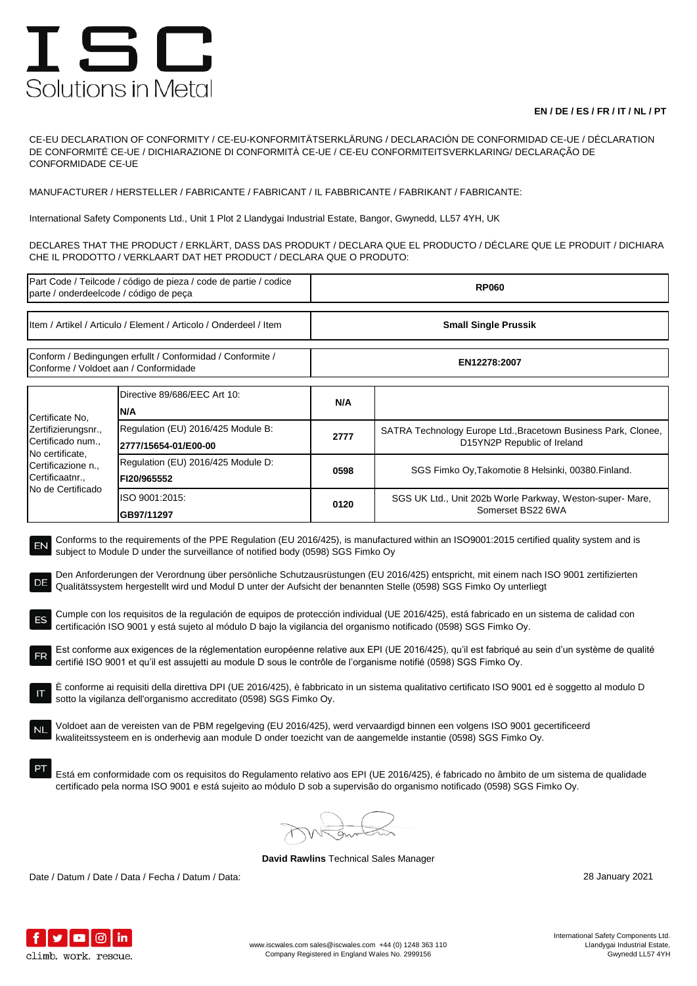## ISC Solutions in Metal

## **EN / DE / ES / FR / IT / NL / PT**

CE-EU DECLARATION OF CONFORMITY / CE-EU-KONFORMITÄTSERKLÄRUNG / DECLARACIÓN DE CONFORMIDAD CE-UE / DÉCLARATION DE CONFORMITÉ CE-UE / DICHIARAZIONE DI CONFORMITÀ CE-UE / CE-EU CONFORMITEITSVERKLARING/ DECLARAÇÃO DE CONFORMIDADE CE-UE

MANUFACTURER / HERSTELLER / FABRICANTE / FABRICANT / IL FABBRICANTE / FABRIKANT / FABRICANTE:

International Safety Components Ltd., Unit 1 Plot 2 Llandygai Industrial Estate, Bangor, Gwynedd, LL57 4YH, UK

DECLARES THAT THE PRODUCT / ERKLÄRT, DASS DAS PRODUKT / DECLARA QUE EL PRODUCTO / DÉCLARE QUE LE PRODUIT / DICHIARA CHE IL PRODOTTO / VERKLAART DAT HET PRODUCT / DECLARA QUE O PRODUTO:

| Part Code / Teilcode / código de pieza / code de partie / codice<br>parte / onderdeelcode / código de peça                                                                                                                                                                                                                                                                                                                                                                                                                                                                                                                                                                                                                                                                                                                                                                                                                                                                                                                                                                                                                                                                                                                                                                                                                                                                                                                                                                                                                                                                                                                                                                                                                                                                                                          |                                                            | <b>RP060</b>                |                                                                                               |  |
|---------------------------------------------------------------------------------------------------------------------------------------------------------------------------------------------------------------------------------------------------------------------------------------------------------------------------------------------------------------------------------------------------------------------------------------------------------------------------------------------------------------------------------------------------------------------------------------------------------------------------------------------------------------------------------------------------------------------------------------------------------------------------------------------------------------------------------------------------------------------------------------------------------------------------------------------------------------------------------------------------------------------------------------------------------------------------------------------------------------------------------------------------------------------------------------------------------------------------------------------------------------------------------------------------------------------------------------------------------------------------------------------------------------------------------------------------------------------------------------------------------------------------------------------------------------------------------------------------------------------------------------------------------------------------------------------------------------------------------------------------------------------------------------------------------------------|------------------------------------------------------------|-----------------------------|-----------------------------------------------------------------------------------------------|--|
| Item / Artikel / Articulo / Element / Articolo / Onderdeel / Item                                                                                                                                                                                                                                                                                                                                                                                                                                                                                                                                                                                                                                                                                                                                                                                                                                                                                                                                                                                                                                                                                                                                                                                                                                                                                                                                                                                                                                                                                                                                                                                                                                                                                                                                                   |                                                            | <b>Small Single Prussik</b> |                                                                                               |  |
| Conform / Bedingungen erfullt / Conformidad / Conformite /<br>Conforme / Voldoet aan / Conformidade                                                                                                                                                                                                                                                                                                                                                                                                                                                                                                                                                                                                                                                                                                                                                                                                                                                                                                                                                                                                                                                                                                                                                                                                                                                                                                                                                                                                                                                                                                                                                                                                                                                                                                                 |                                                            | EN12278:2007                |                                                                                               |  |
| Certificate No.<br>Zertifizierungsnr.,<br>Certificado num.,<br>No certificate,<br>Certificazione n.,<br>Certificaatnr.,<br>No de Certificado                                                                                                                                                                                                                                                                                                                                                                                                                                                                                                                                                                                                                                                                                                                                                                                                                                                                                                                                                                                                                                                                                                                                                                                                                                                                                                                                                                                                                                                                                                                                                                                                                                                                        | Directive 89/686/EEC Art 10:<br>N/A                        | N/A                         |                                                                                               |  |
|                                                                                                                                                                                                                                                                                                                                                                                                                                                                                                                                                                                                                                                                                                                                                                                                                                                                                                                                                                                                                                                                                                                                                                                                                                                                                                                                                                                                                                                                                                                                                                                                                                                                                                                                                                                                                     | Regulation (EU) 2016/425 Module B:<br>2777/15654-01/E00-00 | 2777                        | SATRA Technology Europe Ltd., Bracetown Business Park, Clonee,<br>D15YN2P Republic of Ireland |  |
|                                                                                                                                                                                                                                                                                                                                                                                                                                                                                                                                                                                                                                                                                                                                                                                                                                                                                                                                                                                                                                                                                                                                                                                                                                                                                                                                                                                                                                                                                                                                                                                                                                                                                                                                                                                                                     | Regulation (EU) 2016/425 Module D:<br>FI20/965552          | 0598                        | SGS Fimko Oy, Takomotie 8 Helsinki, 00380. Finland.                                           |  |
|                                                                                                                                                                                                                                                                                                                                                                                                                                                                                                                                                                                                                                                                                                                                                                                                                                                                                                                                                                                                                                                                                                                                                                                                                                                                                                                                                                                                                                                                                                                                                                                                                                                                                                                                                                                                                     | ISO 9001:2015:<br>GB97/11297                               | 0120                        | SGS UK Ltd., Unit 202b Worle Parkway, Weston-super-Mare,<br>Somerset BS22 6WA                 |  |
| Conforms to the requirements of the PPE Regulation (EU 2016/425), is manufactured within an ISO9001:2015 certified quality system and is<br>EN<br>subject to Module D under the surveillance of notified body (0598) SGS Fimko Oy<br>Den Anforderungen der Verordnung über persönliche Schutzausrüstungen (EU 2016/425) entspricht, mit einem nach ISO 9001 zertifizierten<br>DE<br>Qualitätssystem hergestellt wird und Modul D unter der Aufsicht der benannten Stelle (0598) SGS Fimko Oy unterliegt<br>Cumple con los requisitos de la regulación de equipos de protección individual (UE 2016/425), está fabricado en un sistema de calidad con<br>ES<br>certificación ISO 9001 y está sujeto al módulo D bajo la vigilancia del organismo notificado (0598) SGS Fimko Oy.<br>Est conforme aux exigences de la réglementation européenne relative aux EPI (UE 2016/425), qu'il est fabriqué au sein d'un système de qualité<br>certifié ISO 9001 et qu'il est assujetti au module D sous le contrôle de l'organisme notifié (0598) SGS Fimko Oy.<br>È conforme ai requisiti della direttiva DPI (UE 2016/425), è fabbricato in un sistema qualitativo certificato ISO 9001 ed è soggetto al modulo D<br>sotto la vigilanza dell'organismo accreditato (0598) SGS Fimko Oy.<br>Voldoet aan de vereisten van de PBM regelgeving (EU 2016/425), werd vervaardigd binnen een volgens ISO 9001 gecertificeerd<br><b>NL</b><br>kwaliteitssysteem en is onderhevig aan module D onder toezicht van de aangemelde instantie (0598) SGS Fimko Oy.<br>Está em conformidade com os requisitos do Regulamento relativo aos EPI (UE 2016/425), é fabricado no âmbito de um sistema de qualidade<br>certificado pela norma ISO 9001 e está sujeito ao módulo D sob a supervisão do organismo notificado (0598) SGS Fimko Oy. |                                                            |                             |                                                                                               |  |
|                                                                                                                                                                                                                                                                                                                                                                                                                                                                                                                                                                                                                                                                                                                                                                                                                                                                                                                                                                                                                                                                                                                                                                                                                                                                                                                                                                                                                                                                                                                                                                                                                                                                                                                                                                                                                     |                                                            |                             |                                                                                               |  |

**David Rawlins** Technical Sales Manager

Date / Datum / Date / Data / Fecha / Datum / Data: 28 January 2021